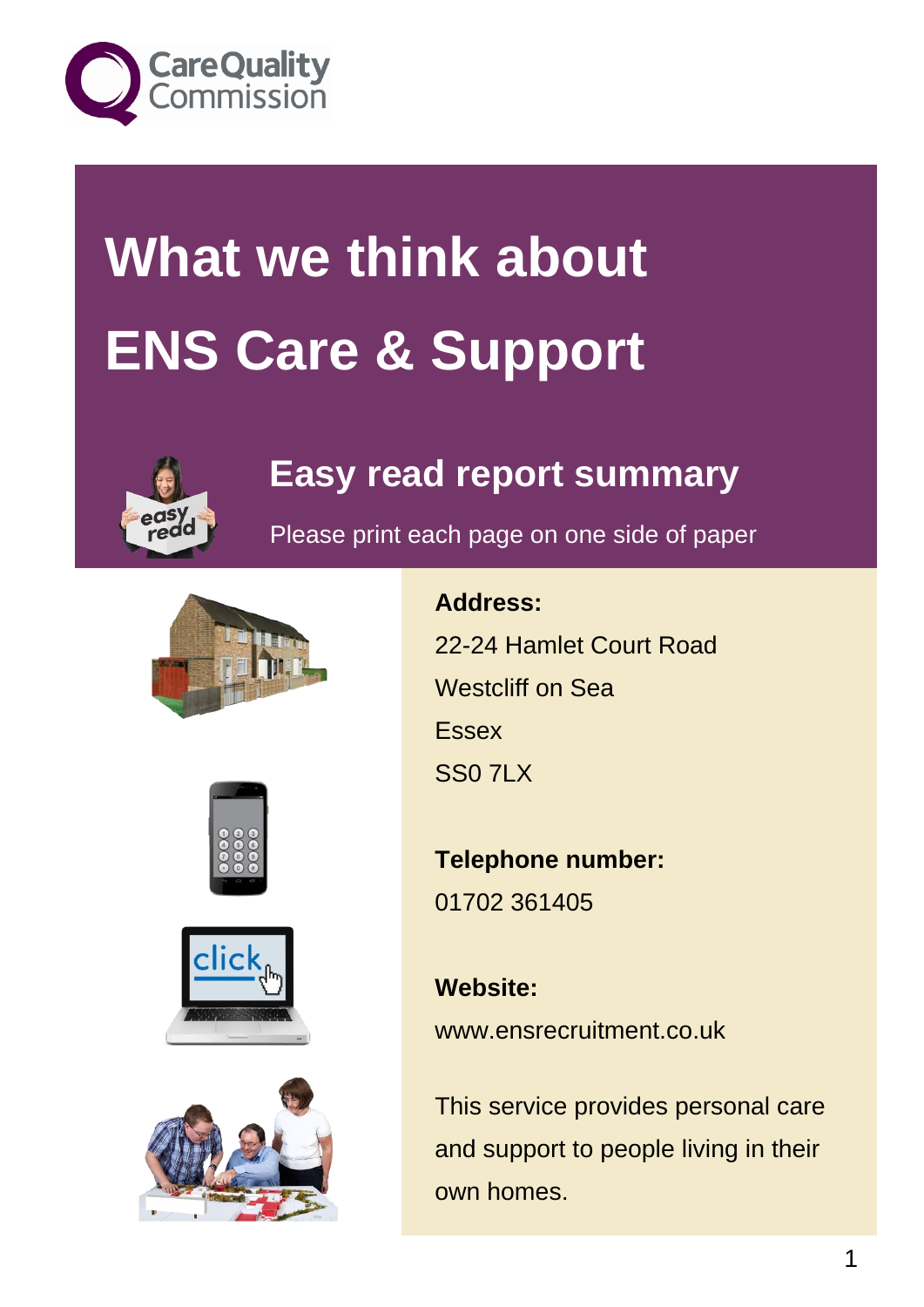

# **What we think about ENS Care & Support**



## **Easy read report summary**







Please print each page on one side of paper

#### **Address:** 22-24 Hamlet Court Road

Westcliff on Sea Essex SS0 7LX

**Telephone number:** 01702 361405

**Website:** www.ensrecruitment.co.uk

This service provides personal care and support to people living in their own homes.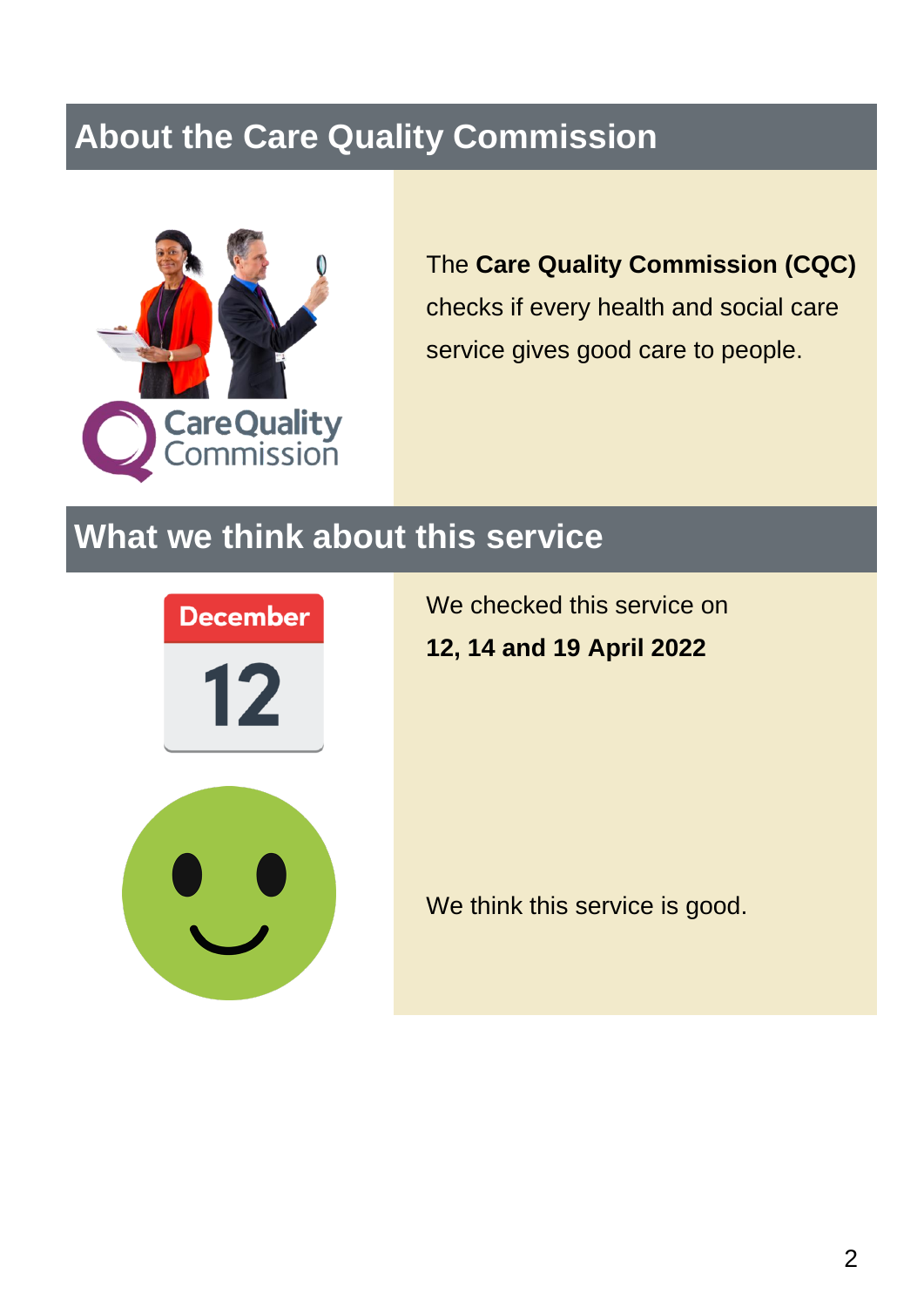#### **About the Care Quality Commission**



The **Care Quality Commission (CQC)** checks if every health and social care service gives good care to people.

#### **What we think about this service**



We checked this service on **12, 14 and 19 April 2022**



We think this service is good.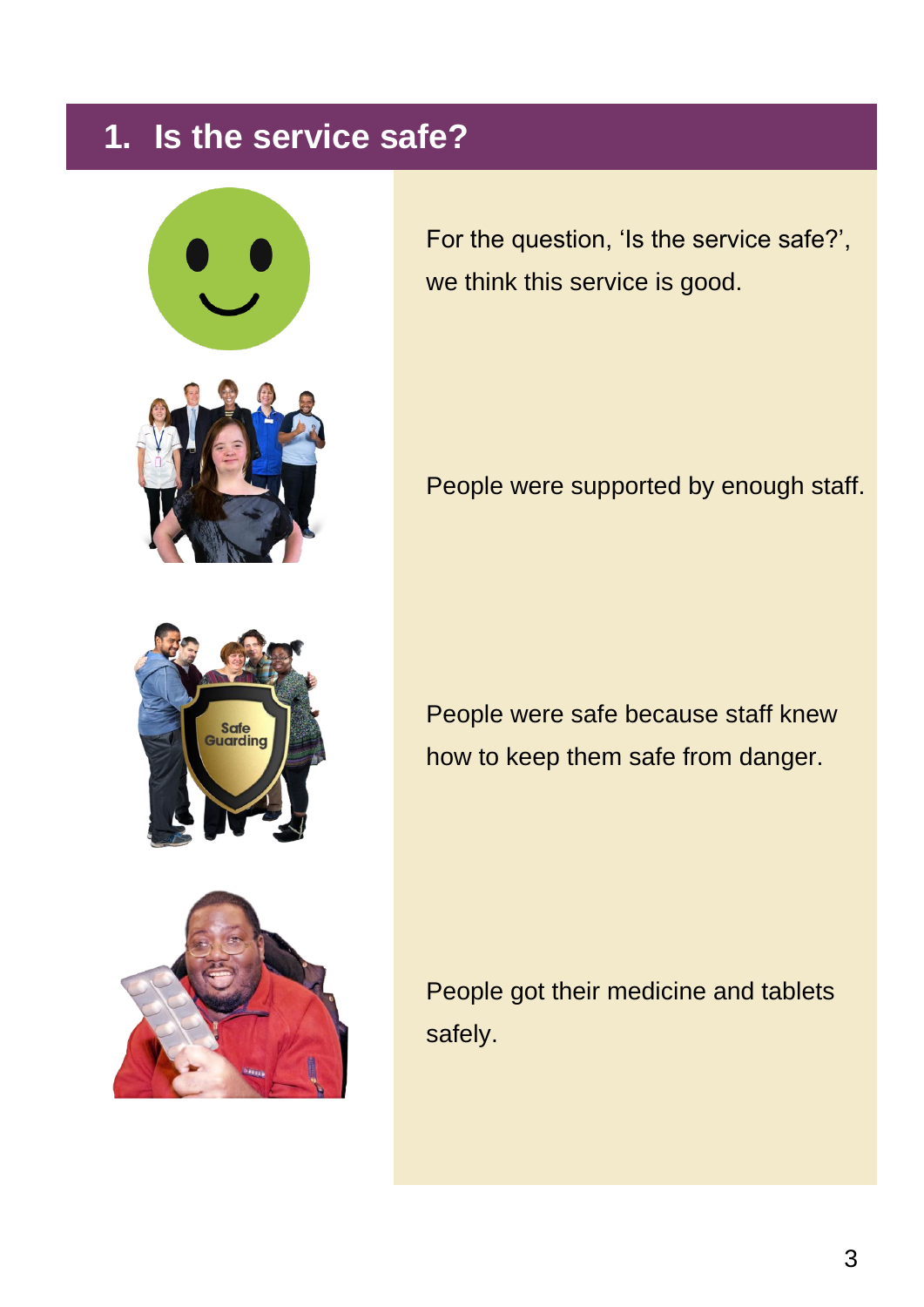#### **1. Is the service safe?**









For the question, 'Is the service safe?', we think this service is good.

People were supported by enough staff.

People were safe because staff knew how to keep them safe from danger.

People got their medicine and tablets safely.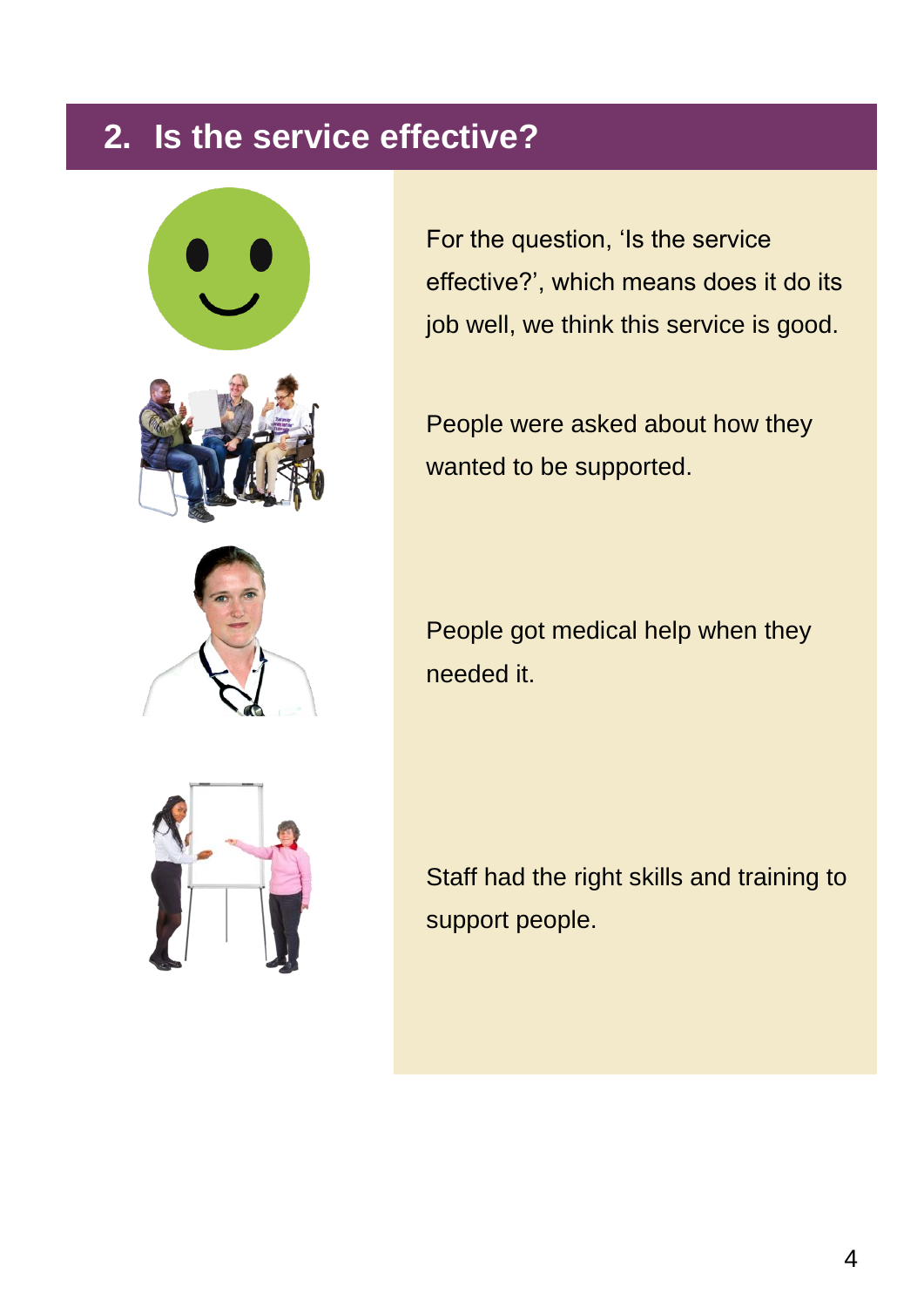## **2. Is the service effective?**







For the question, 'Is the service effective?', which means does it do its job well, we think this service is good.

People were asked about how they wanted to be supported.

People got medical help when they needed it.

Staff had the right skills and training to support people.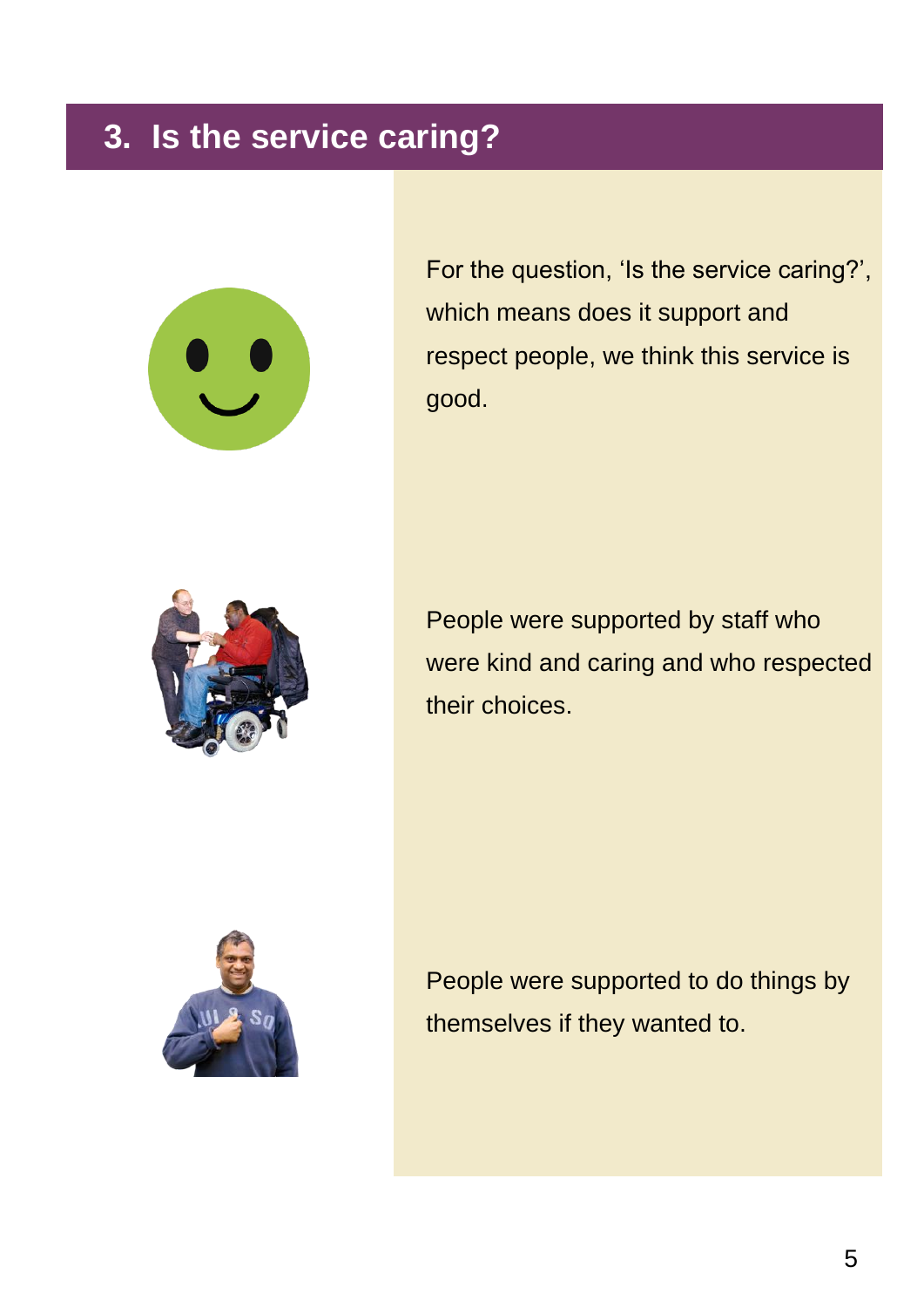#### **3. Is the service caring?**



For the question, 'Is the service caring?', which means does it support and respect people, we think this service is good.



People were supported by staff who were kind and caring and who respected their choices.



People were supported to do things by themselves if they wanted to.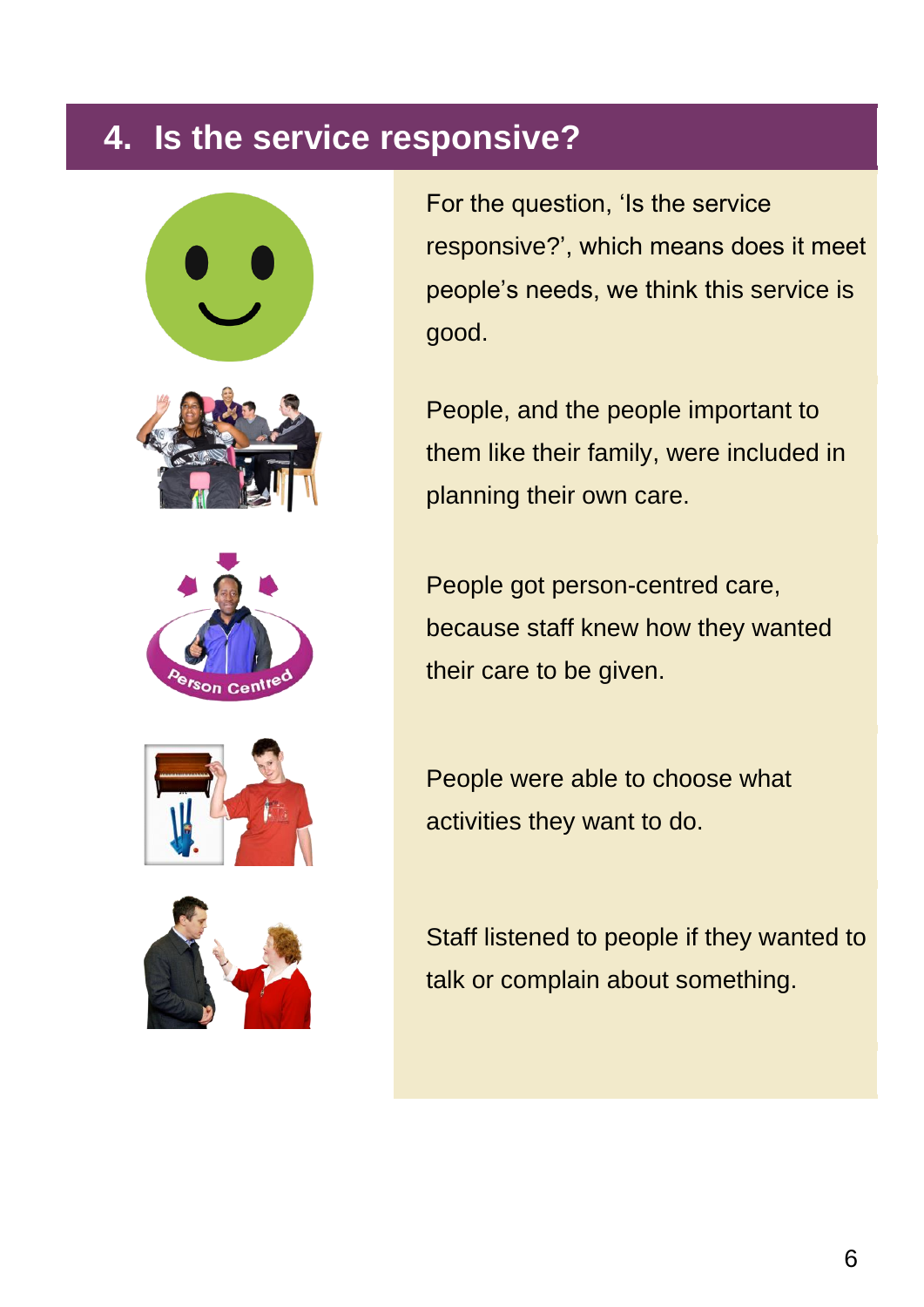## **4. Is the service responsive?**



For the question, 'Is the service responsive?', which means does it meet people's needs, we think this service is good.

People, and the people important to them like their family, were included in planning their own care.

People got person-centred care, because staff knew how they wanted their care to be given.

People were able to choose what activities they want to do.

Staff listened to people if they wanted to talk or complain about something.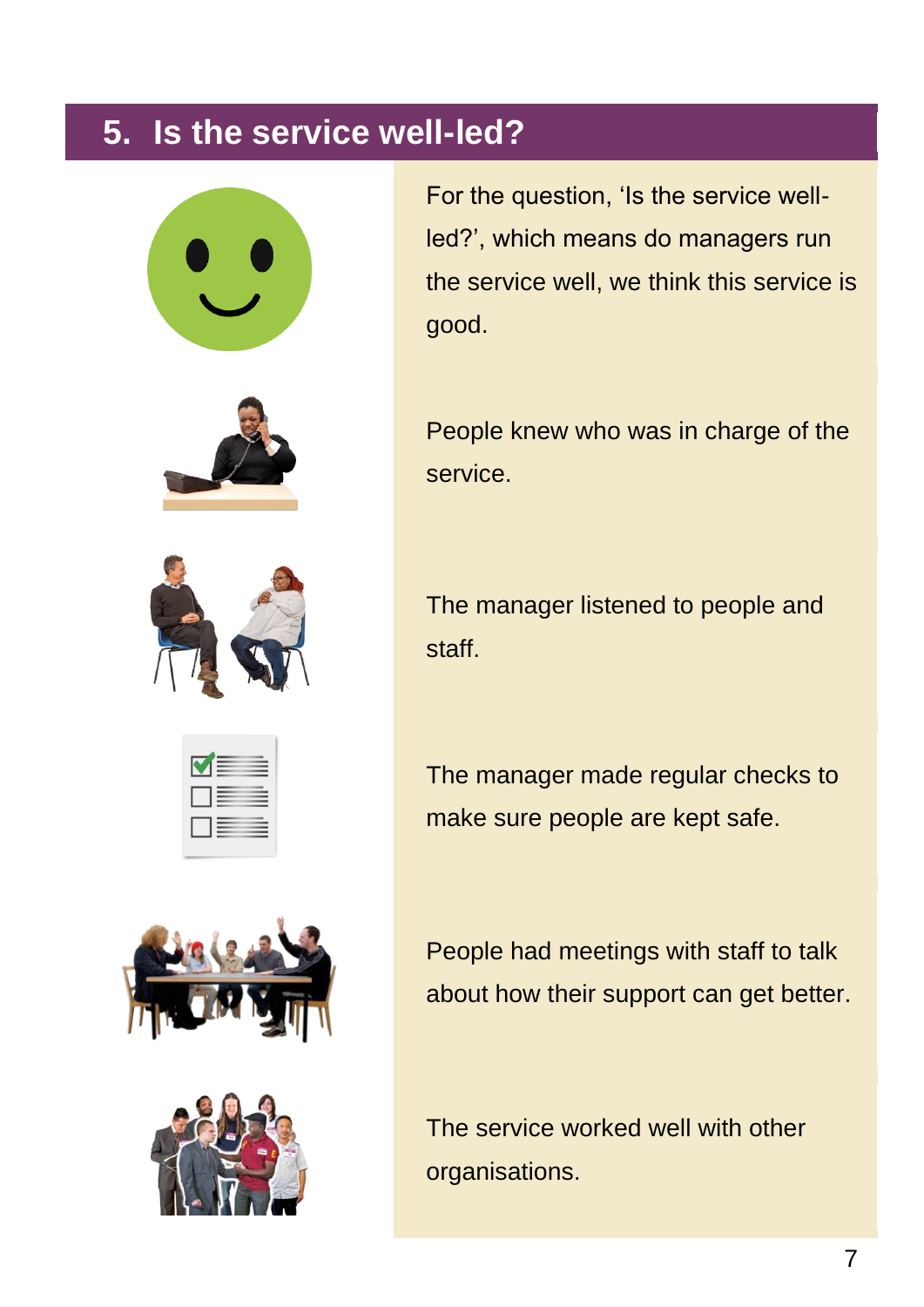## **5. Is the service well-led?**





| _<br>_  | = |
|---------|---|
| -<br>__ |   |
| __      |   |
|         |   |





For the question, 'Is the service wellled?', which means do managers run the service well, we think this service is good.

People knew who was in charge of the service.

The manager listened to people and staff.

The manager made regular checks to make sure people are kept safe.

People had meetings with staff to talk about how their support can get better.

The service worked well with other organisations.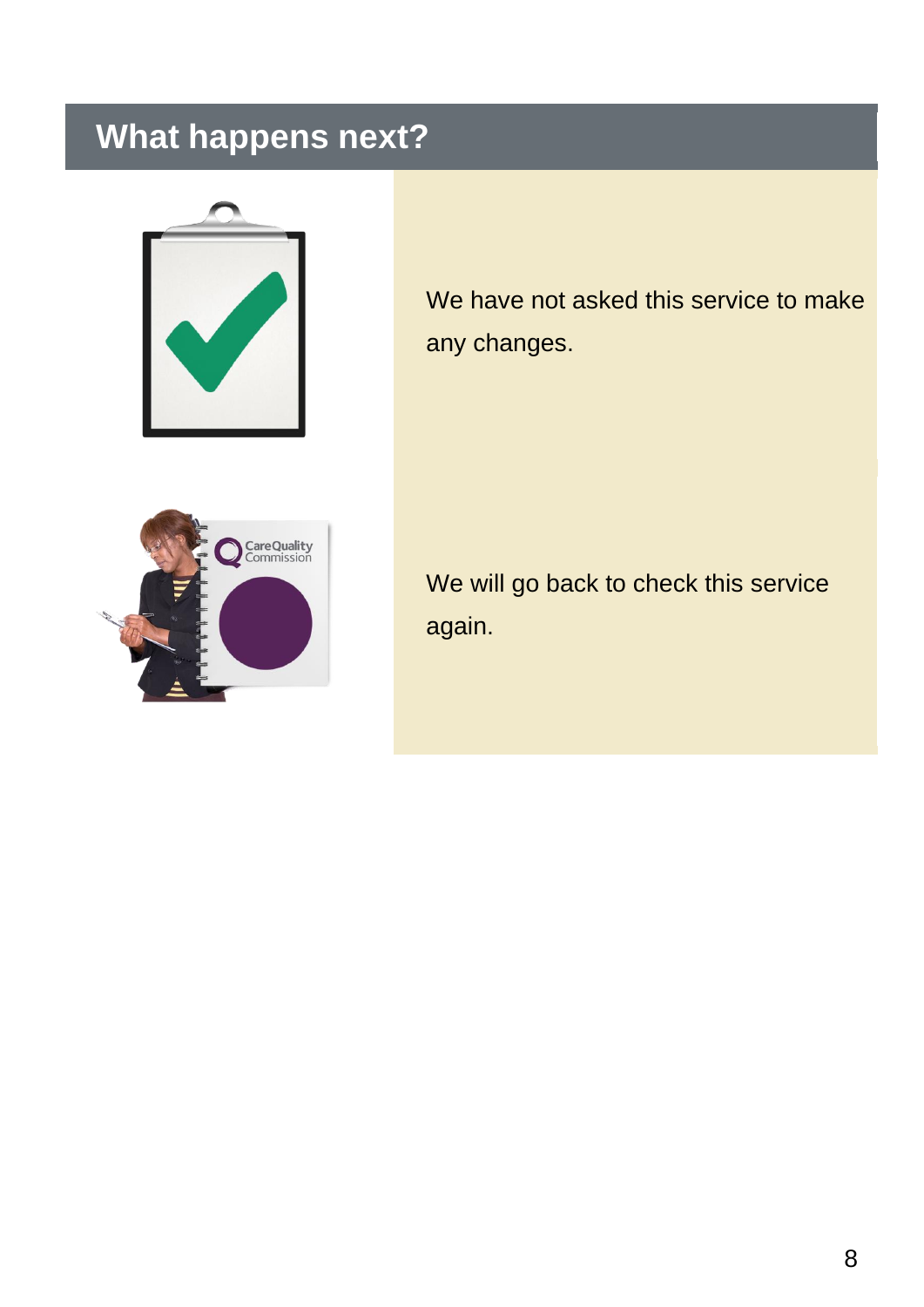# **What happens next?**



We have not asked this service to make any changes.



We will go back to check this service again.